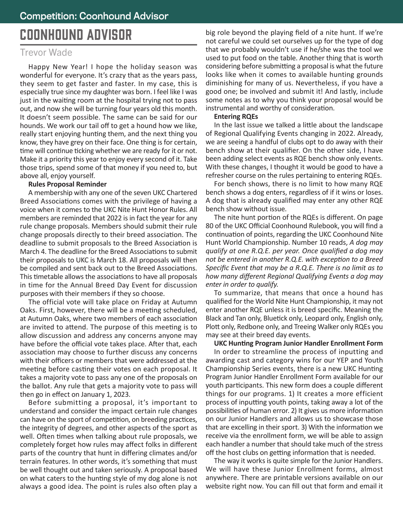# COONHOUND ADVISOR

## Trevor Wade

Happy New Year! I hope the holiday season was wonderful for everyone. It's crazy that as the years pass, they seem to get faster and faster. In my case, this is especially true since my daughter was born. I feel like I was just in the waiting room at the hospital trying not to pass out, and now she will be turning four years old this month. It doesn't seem possible. The same can be said for our hounds. We work our tail off to get a hound how we like, really start enjoying hunting them, and the next thing you know, they have grey on their face. One thing is for certain, time will continue ticking whether we are ready for it or not. Make it a priority this year to enjoy every second of it. Take those trips, spend some of that money if you need to, but above all, enjoy yourself.

#### **Rules Proposal Reminder**

A membership with any one of the seven UKC Chartered Breed Associations comes with the privilege of having a voice when it comes to the UKC Nite Hunt Honor Rules. All members are reminded that 2022 is in fact the year for any rule change proposals. Members should submit their rule change proposals directly to their breed association. The deadline to submit proposals to the Breed Association is March 4. The deadline for the Breed Associations to submit their proposals to UKC is March 18. All proposals will then be compiled and sent back out to the Breed Associations. This timetable allows the associations to have all proposals in time for the Annual Breed Day Event for discussion purposes with their members if they so choose.

The official vote will take place on Friday at Autumn Oaks. First, however, there will be a meeting scheduled, at Autumn Oaks, where two members of each association are invited to attend. The purpose of this meeting is to allow discussion and address any concerns anyone may have before the official vote takes place. After that, each association may choose to further discuss any concerns with their officers or members that were addressed at the meeting before casting their votes on each proposal. It takes a majority vote to pass any one of the proposals on the ballot. Any rule that gets a majority vote to pass will then go in effect on January 1, 2023.

Before submitting a proposal, it's important to understand and consider the impact certain rule changes can have on the sport of competition, on breeding practices, the integrity of degrees, and other aspects of the sport as well. Often times when talking about rule proposals, we completely forget how rules may affect folks in different parts of the country that hunt in differing climates and/or terrain features. In other words, it's something that must be well thought out and taken seriously. A proposal based on what caters to the hunting style of my dog alone is not always a good idea. The point is rules also often play a

big role beyond the playing field of a nite hunt. If we're not careful we could set ourselves up for the type of dog that we probably wouldn't use if he/she was the tool we used to put food on the table. Another thing that is worth considering before submitting a proposal is what the future looks like when it comes to available hunting grounds diminishing for many of us. Nevertheless, if you have a good one; be involved and submit it! And lastly, include some notes as to why you think your proposal would be instrumental and worthy of consideration.

#### **Entering RQEs**

In the last issue we talked a little about the landscape of Regional Qualifying Events changing in 2022. Already, we are seeing a handful of clubs opt to do away with their bench show at their qualifier. On the other side, I have been adding select events as RQE bench show only events. With these changes, I thought it would be good to have a refresher course on the rules pertaining to entering RQEs.

For bench shows, there is no limit to how many RQE bench shows a dog enters, regardless of if it wins or loses. A dog that is already qualified may enter any other RQE bench show without issue.

The nite hunt portion of the RQEs is different. On page 80 of the UKC Official Coonhound Rulebook, you will find a continuation of points, regarding the UKC Coonhound Nite Hunt World Championship. Number 10 reads, *A dog may qualify at one R.Q.E. per year. Once qualified a dog may not be entered in another R.Q.E. with exception to a Breed Specific Event that may be a R.Q.E. There is no limit as to how many different Regional Qualifying Events a dog may enter in order to qualify.* 

To summarize, that means that once a hound has qualified for the World Nite Hunt Championship, it may not enter another RQE unless it is breed specific. Meaning the Black and Tan only, Bluetick only, Leopard only, English only, Plott only, Redbone only, and Treeing Walker only RQEs you may see at their breed day events.

**UKC Hunting Program Junior Handler Enrollment Form** In order to streamline the process of inputting and awarding cast and category wins for our YEP and Youth Championship Series events, there is a new UKC Hunting Program Junior Handler Enrollment Form available for our youth participants. This new form does a couple different things for our programs. 1) It creates a more efficient process of inputting youth points, taking away a lot of the possibilities of human error. 2) It gives us more information on our Junior Handlers and allows us to showcase those that are excelling in their sport. 3) With the information we receive via the enrollment form, we will be able to assign each handler a number that should take much of the stress off the host clubs on getting information that is needed.

The way it works is quite simple for the Junior Handlers. We will have these Junior Enrollment forms, almost anywhere. There are printable versions available on our website right now. You can fill out that form and email it